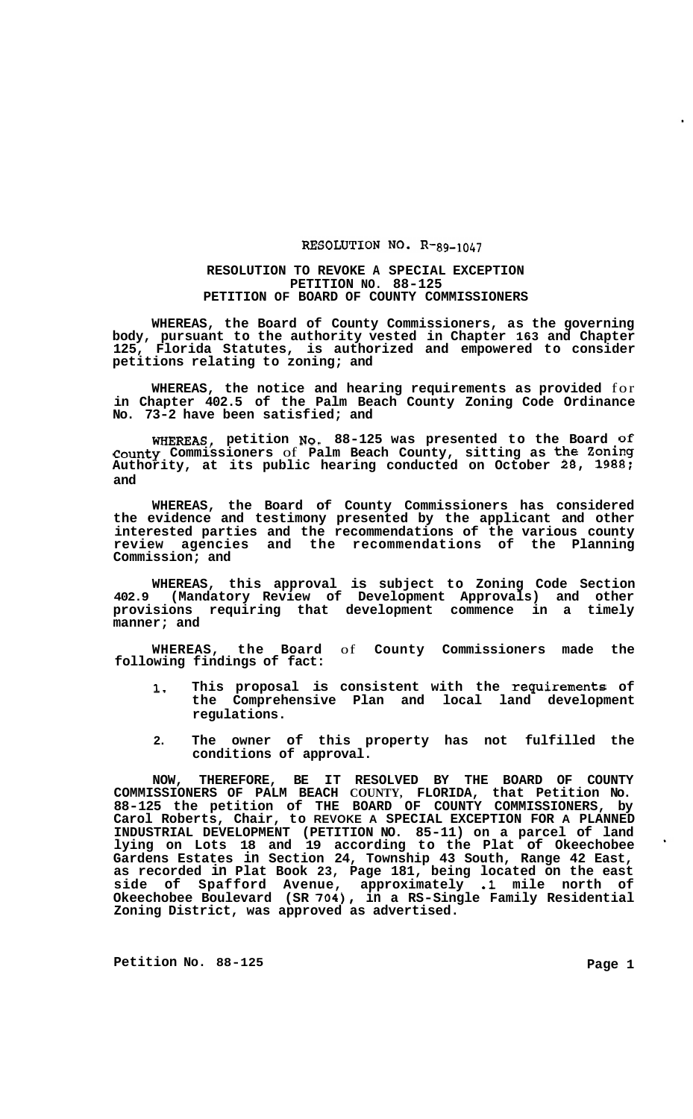## RESOLUTION NO. R-89-1047

## **RESOLUTION TO REVOKE A SPECIAL EXCEPTION PETITION NO. 88-125 PETITION OF BOARD OF COUNTY COMMISSIONERS**

**WHEREAS, the Board of County Commissioners, as the governing body, pursuant to the authority vested in Chapter 163 and Chapter 125, Florida Statutes, is authorized and empowered to consider petitions relating to zoning; and** 

**WHEREAS, the notice and hearing requirements as provided** for **in Chapter 402.5 of the Palm Beach County Zoning Code Ordinance No. 73-2 have been satisfied; and** 

**WHEREAS, petition NO. 88-125 was presented to the Board of County Commissioners** of **Palm Beach County, sitting as the Zoning Authority, at its public hearing conducted on October 28, 1988; and** 

**WHEREAS, the Board of County Commissioners has considered the evidence and testimony presented by the applicant and other interested parties and the recommendations of the various county review agencies and the recommendations of the Planning Commission; and** 

**WHEREAS, this approval is subject to Zoning Code Section 402.9 (Mandatory Review of Development Approvals) and other provisions requiring that development commence in a timely manner; and** 

**WHEREAS, the Board** of **County Commissioners made the following findings of fact:** 

- **1. This proposal is consistent with the requirements of the Comprehensive Plan and local land development regulations.**
- **2. The owner of this property has not fulfilled the conditions of approval.**

**NOW, THEREFORE, BE IT RESOLVED BY THE BOARD OF COUNTY COMMISSIONERS OF PALM BEACH COUNTY, FLORIDA, that Petition No. 88-125 the petition of THE BOARD OF COUNTY COMMISSIONERS, by Carol Roberts, Chair, to REVOKE A SPECIAL EXCEPTION FOR A PLANNED INDUSTRIAL DEVELOPMENT (PETITION NO. 85-11) on a parcel of land lying on Lots 18 and 19 according to the Plat of Okeechobee Gardens Estates in Section 24, Township 43 South, Range 42 East, as recorded in Plat Book 23, Page 181, being located on the east side of Spaf ford Avenue, approximately .1 mile north of Okeechobee Boulevard (SR 704), in a RS-Single Family Residential Zoning District, was approved as advertised.** 

**Petition No.** 88-125 **Page 1**